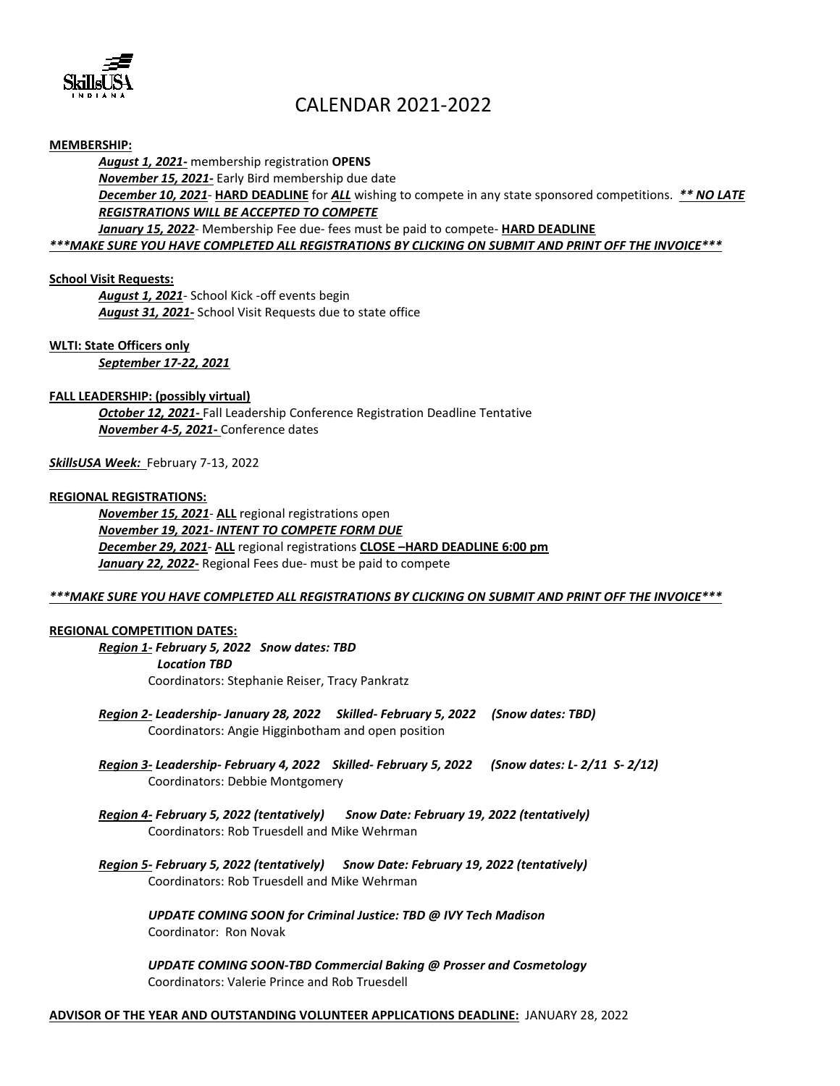

# CALENDAR 2021-2022

## **MEMBERSHIP:**

*August 1, 2021-* membership registration **OPENS** *November 15, 2021-* Early Bird membership due date *December 10, 2021*- **HARD DEADLINE** for *ALL* wishing to compete in any state sponsored competitions. *\*\* NO LATE REGISTRATIONS WILL BE ACCEPTED TO COMPETE January 15, 2022*- Membership Fee due- fees must be paid to compete- **HARD DEADLINE**

*\*\*\*MAKE SURE YOU HAVE COMPLETED ALL REGISTRATIONS BY CLICKING ON SUBMIT AND PRINT OFF THE INVOICE\*\*\**

## **School Visit Requests:**

*August 1, 2021*- School Kick -off events begin *August 31, 2021-* School Visit Requests due to state office

# **WLTI: State Officers only**

*September 17-22, 2021*

#### **FALL LEADERSHIP: (possibly virtual)**

*October 12, 2021-* Fall Leadership Conference Registration Deadline Tentative *November 4-5, 2021-* Conference dates

## *SkillsUSA Week:* February 7-13, 2022

#### **REGIONAL REGISTRATIONS:**

*November 15, 2021*- **ALL** regional registrations open *November 19, 2021- INTENT TO COMPETE FORM DUE December 29, 2021*- **ALL** regional registrations **CLOSE –HARD DEADLINE 6:00 pm** *January 22, 2022-* Regional Fees due- must be paid to compete

#### *\*\*\*MAKE SURE YOU HAVE COMPLETED ALL REGISTRATIONS BY CLICKING ON SUBMIT AND PRINT OFF THE INVOICE\*\*\**

#### **REGIONAL COMPETITION DATES:**

*Region 1- February 5, 2022 Snow dates: TBD Location TBD* Coordinators: Stephanie Reiser, Tracy Pankratz

- *Region 2- Leadership- January 28, 2022 Skilled- February 5, 2022 (Snow dates: TBD)* Coordinators: Angie Higginbotham and open position
- *Region 3- Leadership- February 4, 2022 Skilled- February 5, 2022 (Snow dates: L- 2/11 S- 2/12)* Coordinators: Debbie Montgomery
- *Region 4- February 5, 2022 (tentatively) Snow Date: February 19, 2022 (tentatively)* Coordinators: Rob Truesdell and Mike Wehrman
- *Region 5- February 5, 2022 (tentatively) Snow Date: February 19, 2022 (tentatively)* Coordinators: Rob Truesdell and Mike Wehrman

*UPDATE COMING SOON for Criminal Justice: TBD @ IVY Tech Madison* Coordinator: Ron Novak

*UPDATE COMING SOON-TBD Commercial Baking @ Prosser and Cosmetology* Coordinators: Valerie Prince and Rob Truesdell

#### **ADVISOR OF THE YEAR AND OUTSTANDING VOLUNTEER APPLICATIONS DEADLINE:** JANUARY 28, 2022